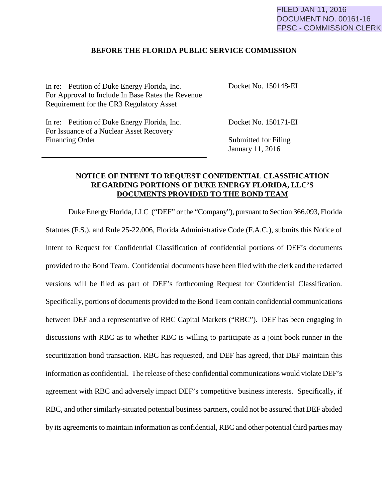## FILED JAN 11, 2016 DOCUMENT NO. 00161-16 FPSC - COMMISSION CLERK

## **BEFORE THE FLORIDA PUBLIC SERVICE COMMISSION**

In re: Petition of Duke Energy Florida, Inc. For Approval to Include In Base Rates the Revenue Requirement for the CR3 Regulatory Asset

Docket No. 150148-EI

In re: Petition of Duke Energy Florida, Inc. For Issuance of a Nuclear Asset Recovery Financing Order

Docket No. 150171-EI

Submitted for Filing January 11, 2016

## **NOTICE OF INTENT TO REQUEST CONFIDENTIAL CLASSIFICATION REGARDING PORTIONS OF DUKE ENERGY FLORIDA, LLC'S DOCUMENTS PROVIDED TO THE BOND TEAM**

Duke Energy Florida, LLC ("DEF" or the "Company"), pursuant to Section 366.093, Florida Statutes (F.S.), and Rule 25-22.006, Florida Administrative Code (F.A.C.), submits this Notice of Intent to Request for Confidential Classification of confidential portions of DEF's documents provided to the Bond Team. Confidential documents have been filed with the clerk and the redacted versions will be filed as part of DEF's forthcoming Request for Confidential Classification. Specifically, portions of documents provided to the Bond Team contain confidential communications between DEF and a representative of RBC Capital Markets ("RBC"). DEF has been engaging in discussions with RBC as to whether RBC is willing to participate as a joint book runner in the securitization bond transaction. RBC has requested, and DEF has agreed, that DEF maintain this information as confidential. The release of these confidential communications would violate DEF's agreement with RBC and adversely impact DEF's competitive business interests. Specifically, if RBC, and other similarly-situated potential business partners, could not be assured that DEF abided by its agreements to maintain information as confidential, RBC and other potential third parties may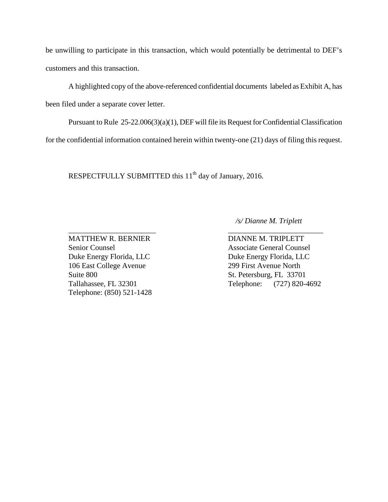be unwilling to participate in this transaction, which would potentially be detrimental to DEF's customers and this transaction.

A highlighted copy of the above-referenced confidential documents labeled as Exhibit A, has been filed under a separate cover letter.

 Pursuant to Rule 25-22.006(3)(a)(1), DEF will file its Request for Confidential Classification for the confidential information contained herein within twenty-one (21) days of filing this request.

\_\_\_\_\_\_\_\_\_\_\_\_\_\_\_\_\_\_\_\_\_\_\_ \_\_\_\_\_\_\_\_\_\_\_\_\_\_\_\_\_\_\_\_\_\_\_\_\_

RESPECTFULLY SUBMITTED this 11<sup>th</sup> day of January, 2016.

 */s/ Dianne M. Triplett*

Duke Energy Florida, LLC<br>Duke Energy Florida, LLC 106 East College Avenue 299 First Avenue North Suite 800 St. Petersburg, FL 33701 Telephone: (850) 521-1428

MATTHEW R. BERNIER DIANNE M. TRIPLETT Senior Counsel Associate General Counsel Tallahassee, FL 32301 Telephone: (727) 820-4692